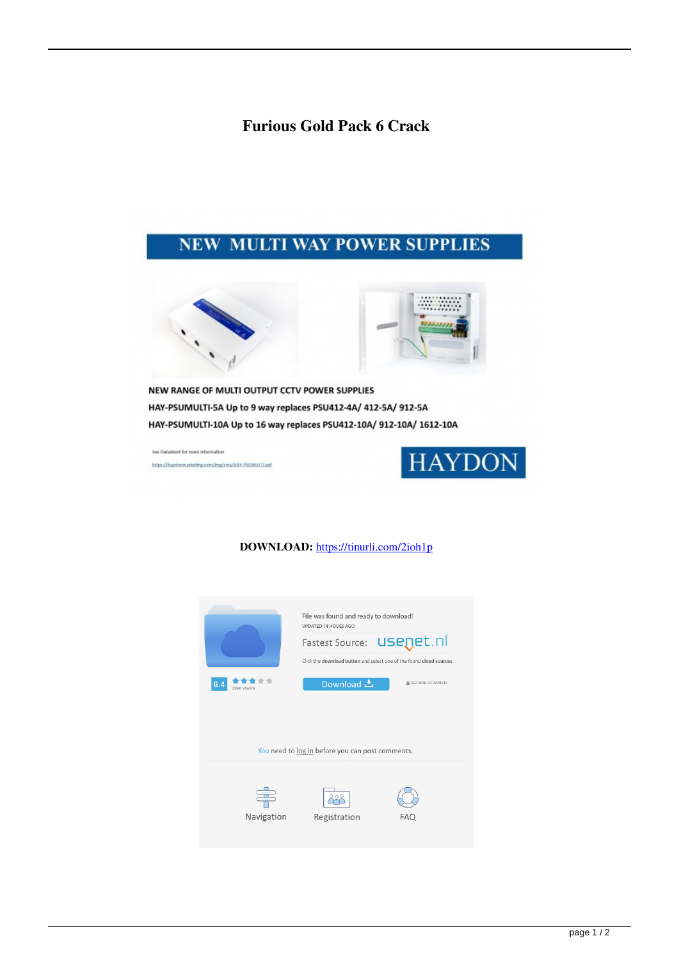## **Furious Gold Pack 6 Crack**

## **NEW MULTI WAY POWER SUPPLIES**





NEW RANGE OF MULTI OUTPUT CCTV POWER SUPPLIES HAY-PSUMULTI-5A Up to 9 way replaces PSU412-4A/ 412-5A/ 912-5A HAY-PSUMULTI-10A Up to 16 way replaces PSU412-10A/ 912-10A/ 1612-10A

See Datasheet for more Information https://haydonmarketing.com/img/cms/HAY-PSUMULTLpdf



## **DOWNLOAD:** <https://tinurli.com/2ioh1p>